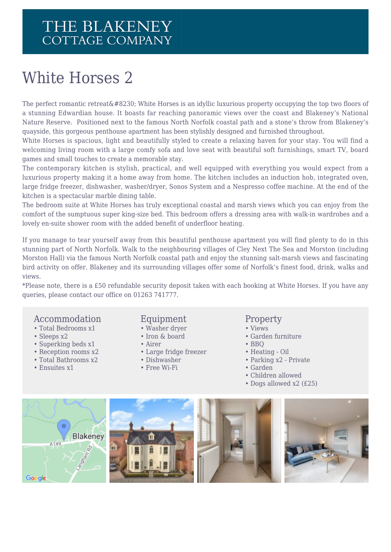### White Horses 2

The perfect romantic retreat… White Horses is an idyllic luxurious property occupying the top two floors of a stunning Edwardian house. It boasts far reaching panoramic views over the coast and Blakeney's National Nature Reserve. Positioned next to the famous North Norfolk coastal path and a stone's throw from Blakeney's quayside, this gorgeous penthouse apartment has been stylishly designed and furnished throughout.

White Horses is spacious, light and beautifully styled to create a relaxing haven for your stay. You will find a welcoming living room with a large comfy sofa and love seat with beautiful soft furnishings, smart TV, board games and small touches to create a memorable stay.

The contemporary kitchen is stylish, practical, and well equipped with everything you would expect from a luxurious property making it a home away from home. The kitchen includes an induction hob, integrated oven, large fridge freezer, dishwasher, washer/dryer, Sonos System and a Nespresso coffee machine. At the end of the kitchen is a spectacular marble dining table.

The bedroom suite at White Horses has truly exceptional coastal and marsh views which you can enjoy from the comfort of the sumptuous super king-size bed. This bedroom offers a dressing area with walk-in wardrobes and a lovely en-suite shower room with the added benefit of underfloor heating.

If you manage to tear yourself away from this beautiful penthouse apartment you will find plenty to do in this stunning part of North Norfolk. Walk to the neighbouring villages of Cley Next The Sea and Morston (including Morston Hall) via the famous North Norfolk coastal path and enjoy the stunning salt-marsh views and fascinating bird activity on offer. Blakeney and its surrounding villages offer some of Norfolk's finest food, drink, walks and views.

\*Please note, there is a £50 refundable security deposit taken with each booking at White Horses. If you have any queries, please contact our office on 01263 741777.

#### Accommodation

- Total Bedrooms x1
- Sleeps x2
- Superking beds x1
- Reception rooms x2
- Total Bathrooms x2
- Ensuites x1

#### Equipment

- Washer dryer
- Iron & board
- Airer
- Large fridge freezer
- Dishwasher
- Free Wi-Fi

#### **Property**

- Views
- Garden furniture
- BBQ
- Heating Oil
- Parking x2 Private
- Garden
- Children allowed
- Dogs allowed x2 (£25)

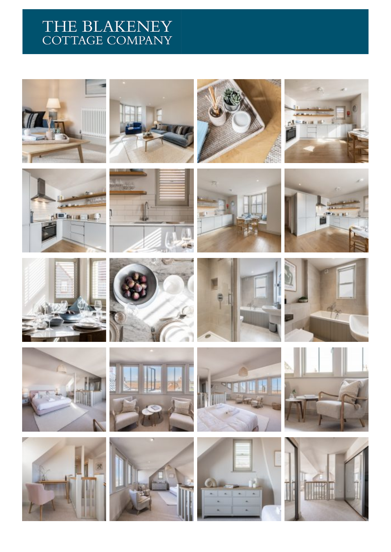## THE BLAKENEY<br>COTTAGE COMPANY